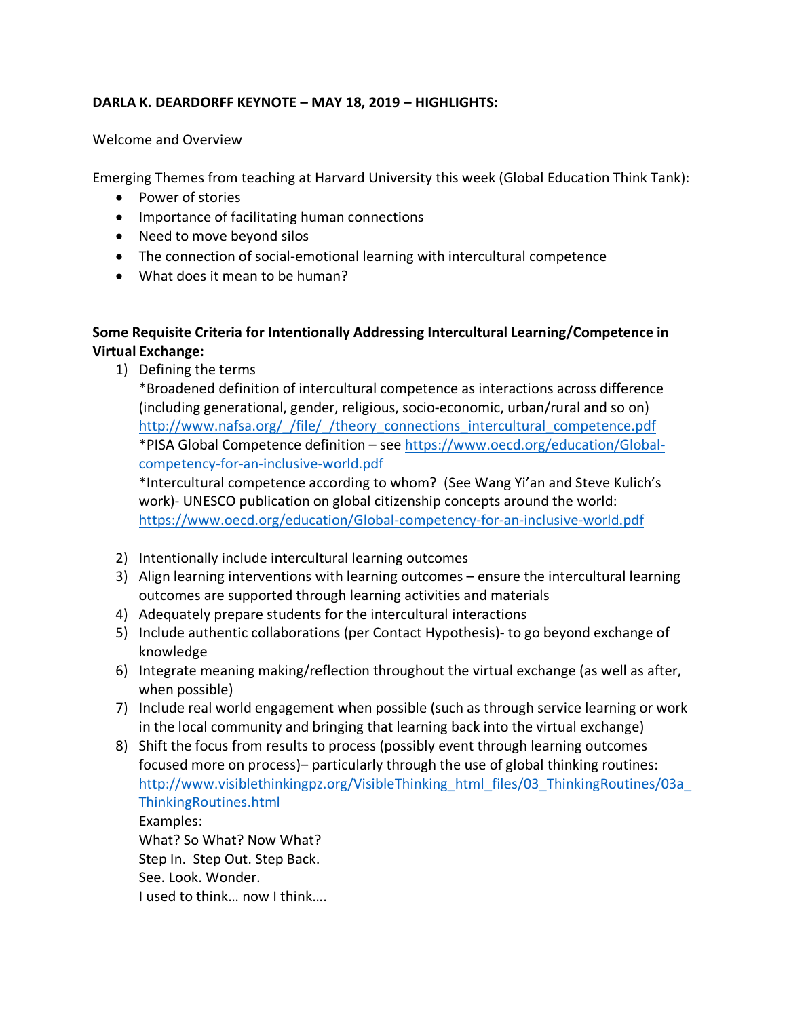## **DARLA K. DEARDORFF KEYNOTE – MAY 18, 2019 – HIGHLIGHTS:**

#### Welcome and Overview

Emerging Themes from teaching at Harvard University this week (Global Education Think Tank):

- Power of stories
- Importance of facilitating human connections
- Need to move beyond silos
- The connection of social-emotional learning with intercultural competence
- What does it mean to be human?

## **Some Requisite Criteria for Intentionally Addressing Intercultural Learning/Competence in Virtual Exchange:**

1) Defining the terms

\*Broadened definition of intercultural competence as interactions across difference (including generational, gender, religious, socio-economic, urban/rural and so on) http://www.nafsa.org/ /file/ /theory connections intercultural competence.pdf \*PISA Global Competence definition – see https://www.oecd.org/education/Globalcompetency-for-an-inclusive-world.pdf

\*Intercultural competence according to whom? (See Wang Yi'an and Steve Kulich's work)- UNESCO publication on global citizenship concepts around the world: https://www.oecd.org/education/Global-competency-for-an-inclusive-world.pdf

- 2) Intentionally include intercultural learning outcomes
- 3) Align learning interventions with learning outcomes ensure the intercultural learning outcomes are supported through learning activities and materials
- 4) Adequately prepare students for the intercultural interactions
- 5) Include authentic collaborations (per Contact Hypothesis)- to go beyond exchange of knowledge
- 6) Integrate meaning making/reflection throughout the virtual exchange (as well as after, when possible)
- 7) Include real world engagement when possible (such as through service learning or work in the local community and bringing that learning back into the virtual exchange)
- 8) Shift the focus from results to process (possibly event through learning outcomes focused more on process)– particularly through the use of global thinking routines: http://www.visiblethinkingpz.org/VisibleThinking\_html\_files/03\_ThinkingRoutines/03a ThinkingRoutines.html Examples: What? So What? Now What? Step In. Step Out. Step Back. See. Look. Wonder. I used to think… now I think….